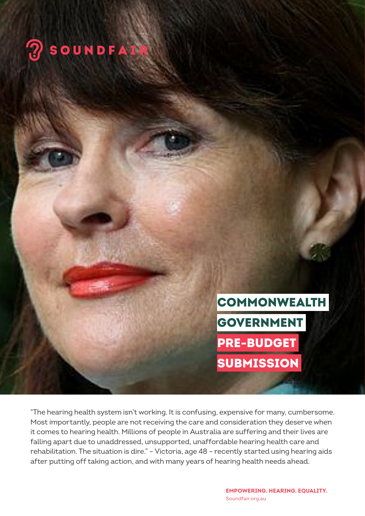

**COMMONWEALTH** GOVERNMENT PRE-BUDGET SUBMISSION

"The hearing health system isn't working. It is confusing, expensive for many, cumbersome. Most importantly, people are not receiving the care and consideration they deserve when it comes to hearing health. Millions of people in Australia are suffering and their lives are falling apart due to unaddressed, unsupported, unaffordable hearing health care and rehabilitation. The situation is dire." – Victoria, age 48 – recently started using hearing aids after putting off taking action, and with many years of hearing health needs ahead.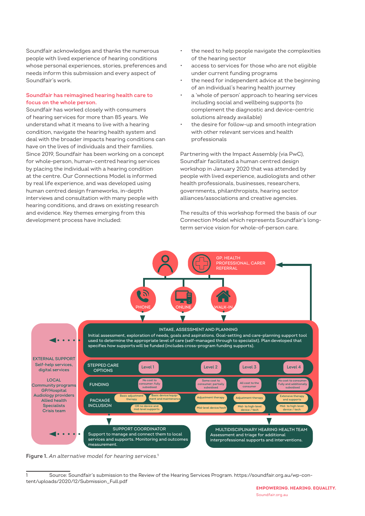Soundfair acknowledges and thanks the numerous people with lived experience of hearing conditions whose personal experiences, stories, preferences and needs inform this submission and every aspect of Soundfair's work.

# **Soundfair has reimagined hearing health care to focus on the whole person.**

Soundfair has worked closely with consumers of hearing services for more than 85 years. We understand what it means to live with a hearing condition, navigate the hearing health system and deal with the broader impacts hearing conditions can have on the lives of individuals and their families. Since 2019, Soundfair has been working on a concept for whole-person, human-centred hearing services by placing the individual with a hearing condition at the centre. Our Connections Model is informed by real life experience, and was developed using human centred design frameworks, in-depth interviews and consultation with many people with hearing conditions, and draws on existing research and evidence. Key themes emerging from this development process have included:

- the need to help people navigate the complexities of the hearing sector
- access to services for those who are not eligible under current funding programs
- the need for independent advice at the beginning of an individual's hearing health journey
- a 'whole of person' approach to hearing services including social and wellbeing supports (to complement the diagnostic and device-centric solutions already available)
- the desire for follow-up and smooth integration with other relevant services and health professionals

Partnering with the Impact Assembly (via PwC), Soundfair facilitated a human centred design workshop in January 2020 that was attended by people with lived experience, audiologists and other health professionals, businesses, researchers, governments, philanthropists, hearing sector alliances/associations and creative agencies.

The results of this workshop formed the basis of our Connection Model which represents Soundfair's longterm service vision for whole-of-person care.



**Figure 1.** *An alternative model for hearing services.***<sup>1</sup>**

<sup>1</sup> Source: Soundfair's submission to the Review of the Hearing Services Program. https://soundfair.org.au/wp-content/uploads/2020/12/Submission\_Full.pdf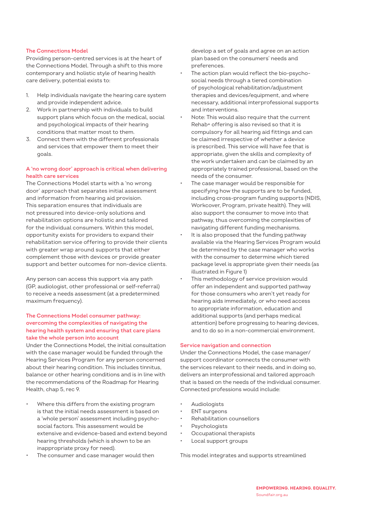# **The Connections Model**

Providing person-centred services is at the heart of the Connections Model. Through a shift to this more contemporary and holistic style of hearing health care delivery, potential exists to:

- 1. Help individuals navigate the hearing care system and provide independent advice.
- 2. Work in partnership with individuals to build support plans which focus on the medical, social and psychological impacts of their hearing conditions that matter most to them.
- 3. Connect them with the different professionals and services that empower them to meet their goals.

# **A 'no wrong door' approach is critical when delivering health care services**

The Connections Model starts with a 'no wrong door' approach that separates initial assessment and information from hearing aid provision. This separation ensures that individuals are not pressured into device-only solutions and rehabilitation options are holistic and tailored for the individual consumers. Within this model, opportunity exists for providers to expand their rehabilitation service offering to provide their clients with greater wrap around supports that either complement those with devices or provide greater support and better outcomes for non-device clients.

Any person can access this support via any path (GP, audiologist, other professional or self-referral) to receive a needs assessment (at a predetermined maximum frequency).

# **The Connections Model consumer pathway: overcoming the complexities of navigating the hearing health system and ensuring that care plans take the whole person into account**

Under the Connections Model, the initial consultation with the case manager would be funded through the Hearing Services Program for any person concerned about their hearing condition. This includes tinnitus, balance or other hearing conditions and is in line with the recommendations of the Roadmap for Hearing Health, chap 5, rec 9.

- Where this differs from the existing program is that the initial needs assessment is based on a 'whole person' assessment including psychosocial factors. This assessment would be extensive and evidence-based and extend beyond hearing thresholds (which is shown to be an inappropriate proxy for need).
- The consumer and case manager would then

develop a set of goals and agree on an action plan based on the consumers' needs and preferences.

- The action plan would reflect the bio-psychosocial needs through a tiered combination of psychological rehabilitation/adjustment therapies and devices/equipment, and where necessary, additional interprofessional supports and interventions.
- Note: This would also require that the current Rehab+ offering is also revised so that it is compulsory for all hearing aid fittings and can be claimed irrespective of whether a device is prescribed. This service will have fee that is appropriate, given the skills and complexity of the work undertaken and can be claimed by an appropriately trained professional, based on the needs of the consumer.
- The case manager would be responsible for specifying how the supports are to be funded, including cross-program funding supports (NDIS, Workcover, Program, private health). They will also support the consumer to move into that pathway, thus overcoming the complexities of navigating different funding mechanisms.
- It is also proposed that the funding pathway available via the Hearing Services Program would be determined by the case manager who works with the consumer to determine which tiered package level is appropriate given their needs (as illustrated in Figure 1)
- This methodology of service provision would offer an independent and supported pathway for those consumers who aren't yet ready for hearing aids immediately, or who need access to appropriate information, education and additional supports (and perhaps medical attention) before progressing to hearing devices, and to do so in a non-commercial environment.

### **Service navigation and connection**

Under the Connections Model, the case manager/ support coordinator connects the consumer with the services relevant to their needs, and in doing so, delivers an interprofessional and tailored approach that is based on the needs of the individual consumer. Connected professions would include:

- Audiologists
- **ENT** surgeons
- Rehabilitation counsellors
- **Psychologists**
- Occupational therapists
- Local support groups

This model integrates and supports streamlined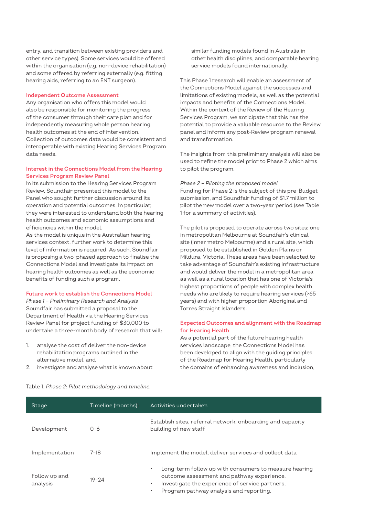entry, and transition between existing providers and other service types). Some services would be offered within the organisation (e.g. non-device rehabilitation) and some offered by referring externally (e.g. fitting hearing aids, referring to an ENT surgeon).

#### **Independent Outcome Assessment**

Any organisation who offers this model would also be responsible for monitoring the progress of the consumer through their care plan and for independently measuring whole person hearing health outcomes at the end of intervention. Collection of outcomes data would be consistent and interoperable with existing Hearing Services Program data needs.

# **Interest in the Connections Model from the Hearing Services Program Review Panel**

In its submission to the Hearing Services Program Review, Soundfair presented this model to the Panel who sought further discussion around its operation and potential outcomes. In particular, they were interested to understand both the hearing health outcomes and economic assumptions and efficiencies within the model.

As the model is unique in the Australian hearing services context, further work to determine this level of information is required. As such, Soundfair is proposing a two-phased approach to finalise the Connections Model and investigate its impact on hearing health outcomes as well as the economic benefits of funding such a program.

# **Future work to establish the Connections Model**

*Phase 1 – Preliminary Research and Analysis* Soundfair has submitted a proposal to the Department of Health via the Hearing Services Review Panel for project funding of \$30,000 to undertake a three-month body of research that will:

- 1. analyse the cost of deliver the non-device rehabilitation programs outlined in the alternative model, and
- 2. investigate and analyse what is known about

similar funding models found in Australia in other health disciplines, and comparable hearing service models found internationally.

This Phase 1 research will enable an assessment of the Connections Model against the successes and limitations of existing models, as well as the potential impacts and benefits of the Connections Model. Within the context of the Review of the Hearing Services Program, we anticipate that this has the potential to provide a valuable resource to the Review panel and inform any post-Review program renewal and transformation.

The insights from this preliminary analysis will also be used to refine the model prior to Phase 2 which aims to pilot the program.

#### *Phase 2 – Piloting the proposed model*

Funding for Phase 2 is the subject of this pre-Budget submission, and Soundfair funding of \$1.7 million to pilot the new model over a two-year period (see Table 1 for a summary of activities).

The pilot is proposed to operate across two sites; one in metropolitan Melbourne at Soundfair's clinical site (inner metro Melbourne) and a rural site, which proposed to be established in Golden Plains or Mildura, Victoria. These areas have been selected to take advantage of Soundfair's existing infrastructure and would deliver the model in a metropolitan area as well as a rural location that has one of Victoria's highest proportions of people with complex health needs who are likely to require hearing services (>65 years) and with higher proportion Aboriginal and Torres Straight Islanders.

## **Expected Outcomes and alignment with the Roadmap for Hearing Health**

As a potential part of the future hearing health services landscape, the Connections Model has been developed to align with the guiding principles of the Roadmap for Hearing Health, particularly the domains of enhancing awareness and inclusion,

| Stage                     | Timeline (months) | Activities undertaken                                                                                                                                                                                                                    |
|---------------------------|-------------------|------------------------------------------------------------------------------------------------------------------------------------------------------------------------------------------------------------------------------------------|
| Development               | $0 - 6$           | Establish sites, referral network, onboarding and capacity<br>building of new staff                                                                                                                                                      |
| Implementation            | $7-18$            | Implement the model, deliver services and collect data                                                                                                                                                                                   |
| Follow up and<br>analysis | $19 - 24$         | Long-term follow up with consumers to measure hearing<br>$\bullet$<br>outcome assessment and pathway experience.<br>Investigate the experience of service partners.<br>$\bullet$<br>Program pathway analysis and reporting.<br>$\bullet$ |